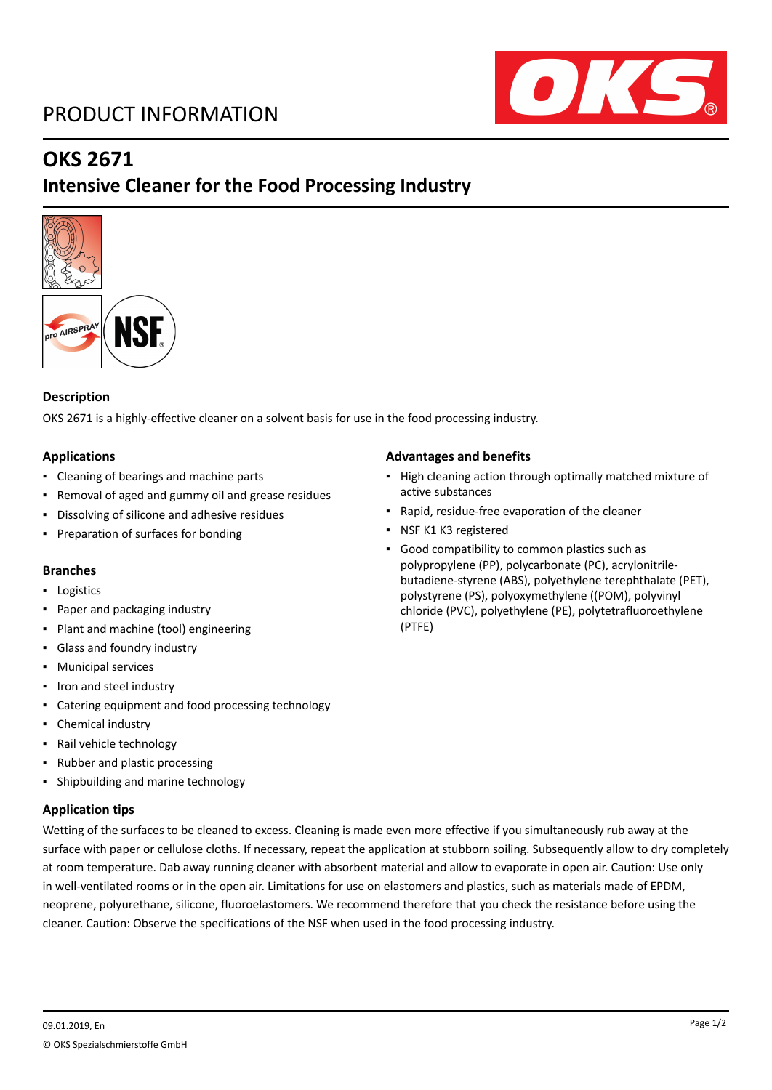# PRODUCT INFORMATION



# **OKS 2671**

# **Intensive Cleaner for the Food Processing Industry**



### **Description**

OKS 2671 is a highly-effective cleaner on a solvent basis for use in the food processing industry.

### **Applications**

- Cleaning of bearings and machine parts
- Removal of aged and gummy oil and grease residues
- Dissolving of silicone and adhesive residues
- Preparation of surfaces for bonding

### **Branches**

- Logistics
- Paper and packaging industry
- Plant and machine (tool) engineering
- Glass and foundry industry
- Municipal services
- Iron and steel industry
- Catering equipment and food processing technology
- Chemical industry
- Rail vehicle technology
- Rubber and plastic processing
- Shipbuilding and marine technology

### **Application tips**

## Wetting of the surfaces to be cleaned to excess. Cleaning is made even more effective if you simultaneously rub away at the surface with paper or cellulose cloths. If necessary, repeat the application at stubborn soiling. Subsequently allow to dry completely at room temperature. Dab away running cleaner with absorbent material and allow to evaporate in open air. Caution: Use only in well-ventilated rooms or in the open air. Limitations for use on elastomers and plastics, such as materials made of EPDM, neoprene, polyurethane, silicone, fluoroelastomers. We recommend therefore that you check the resistance before using the cleaner. Caution: Observe the specifications of the NSF when used in the food processing industry.

#### **Advantages and benefits**

- High cleaning action through optimally matched mixture of active substances
- Rapid, residue-free evaporation of the cleaner
- NSF K1 K3 registered
- Good compatibility to common plastics such as polypropylene (PP), polycarbonate (PC), acrylonitrilebutadiene-styrene (ABS), polyethylene terephthalate (PET), polystyrene (PS), polyoxymethylene ((POM), polyvinyl chloride (PVC), polyethylene (PE), polytetrafluoroethylene (PTFE)